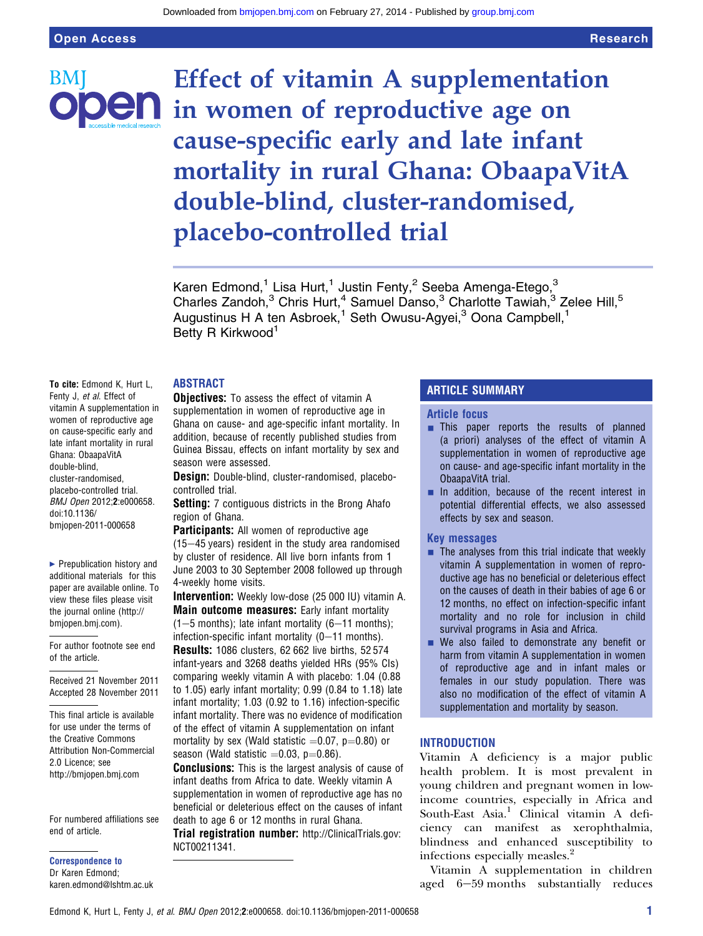

Effect of vitamin A supplementation **end** in women of reproductive age on cause-specific early and late infant mortality in rural Ghana: ObaapaVitA double-blind, cluster-randomised, placebo-controlled trial

> Karen Edmond,<sup>1</sup> Lisa Hurt,<sup>1</sup> Justin Fenty,<sup>2</sup> Seeba Amenga-Etego,<sup>3</sup> Charles Zandoh, $^3$  Chris Hurt, $^4$  Samuel Danso, $^3$  Charlotte Tawiah, $^3$  Zelee Hill, $^5$ Augustinus H A ten Asbroek,<sup>1</sup> Seth Owusu-Agyei,<sup>3</sup> Oona Campbell,<sup>1</sup> Betty R Kirkwood<sup>1</sup>

## ABSTRACT

To cite: Edmond K, Hurt L, Fenty J, et al. Effect of vitamin A supplementation in women of reproductive age on cause-specific early and late infant mortality in rural Ghana: ObaapaVitA double-blind, cluster-randomised, placebo-controlled trial. BMJ Open 2012;2:e000658. doi:10.1136/ bmjopen-2011-000658

**Prepublication history and** additional materials for this paper are available online. To view these files please visit the journal online (http:// bmjopen.bmj.com).

For author footnote see end of the article.

Received 21 November 2011 Accepted 28 November 2011

This final article is available for use under the terms of the Creative Commons Attribution Non-Commercial 2.0 Licence; see http://bmjopen.bmj.com

For numbered affiliations see end of article.

Correspondence to Dr Karen Edmond; karen.edmond@lshtm.ac.uk

**Objectives:** To assess the effect of vitamin A supplementation in women of reproductive age in Ghana on cause- and age-specific infant mortality. In addition, because of recently published studies from Guinea Bissau, effects on infant mortality by sex and season were assessed.

Design: Double-blind, cluster-randomised, placebocontrolled trial.

**Setting:** 7 contiguous districts in the Brong Ahafo region of Ghana.

**Participants:** All women of reproductive age  $(15-45$  years) resident in the study area randomised by cluster of residence. All live born infants from 1 June 2003 to 30 September 2008 followed up through 4-weekly home visits.

Intervention: Weekly low-dose (25 000 IU) vitamin A. **Main outcome measures:** Early infant mortality  $(1-5$  months); late infant mortality  $(6-11$  months); infection-specific infant mortality  $(0-11 \text{ months})$ .

Results: 1086 clusters, 62 662 live births, 52 574 infant-years and 3268 deaths yielded HRs (95% CIs) comparing weekly vitamin A with placebo: 1.04 (0.88 to 1.05) early infant mortality; 0.99 (0.84 to 1.18) late infant mortality; 1.03 (0.92 to 1.16) infection-specific infant mortality. There was no evidence of modification of the effect of vitamin A supplementation on infant mortality by sex (Wald statistic  $=0.07$ , p $=0.80$ ) or season (Wald statistic  $=0.03$ , p $=0.86$ ).

**Conclusions:** This is the largest analysis of cause of infant deaths from Africa to date. Weekly vitamin A supplementation in women of reproductive age has no beneficial or deleterious effect on the causes of infant death to age 6 or 12 months in rural Ghana. Trial registration number: http://ClinicalTrials.gov:

NCT00211341.

## ARTICLE SUMMARY

#### Article focus

- $\blacksquare$  This paper reports the results of planned (a priori) analyses of the effect of vitamin A supplementation in women of reproductive age on cause- and age-specific infant mortality in the ObaapaVitA trial.
- In addition, because of the recent interest in potential differential effects, we also assessed effects by sex and season.

#### Key messages

- $\blacksquare$  The analyses from this trial indicate that weekly vitamin A supplementation in women of reproductive age has no beneficial or deleterious effect on the causes of death in their babies of age 6 or 12 months, no effect on infection-specific infant mortality and no role for inclusion in child survival programs in Asia and Africa.
- We also failed to demonstrate any benefit or harm from vitamin A supplementation in women of reproductive age and in infant males or females in our study population. There was also no modification of the effect of vitamin A supplementation and mortality by season.

## **INTRODUCTION**

Vitamin A deficiency is a major public health problem. It is most prevalent in young children and pregnant women in lowincome countries, especially in Africa and South-East Asia.<sup>1</sup> Clinical vitamin A deficiency can manifest as xerophthalmia, blindness and enhanced susceptibility to infections especially measles.<sup>2</sup>

Vitamin A supplementation in children aged  $6-59$  months substantially reduces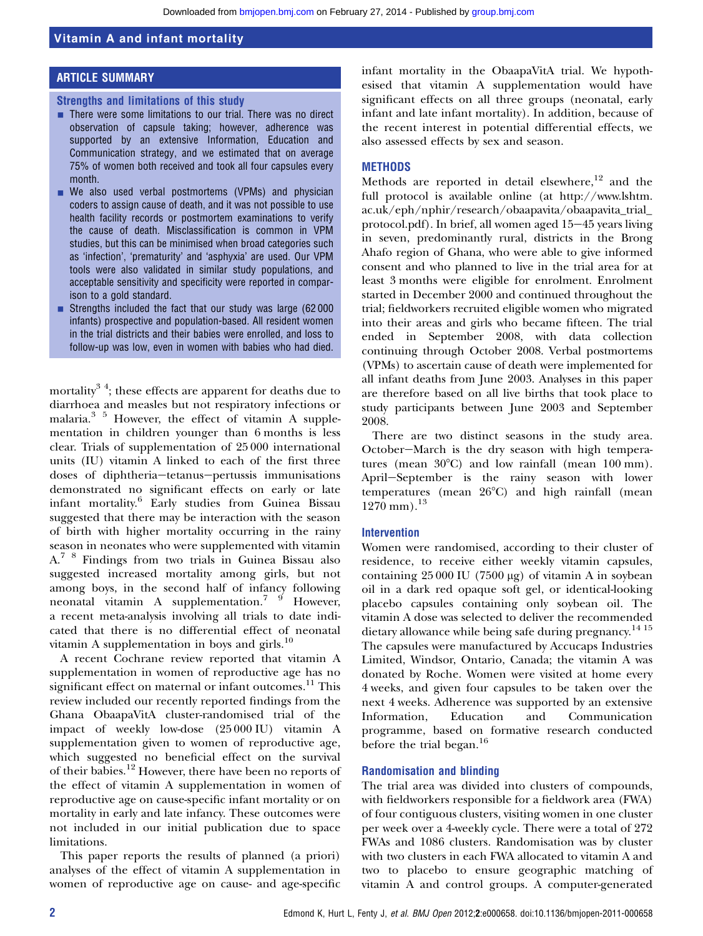## ARTICLE SUMMARY

#### Strengths and limitations of this study

- There were some limitations to our trial. There was no direct observation of capsule taking; however, adherence was supported by an extensive Information, Education and Communication strategy, and we estimated that on average 75% of women both received and took all four capsules every month.
- **-** We also used verbal postmortems (VPMs) and physician coders to assign cause of death, and it was not possible to use health facility records or postmortem examinations to verify the cause of death. Misclassification is common in VPM studies, but this can be minimised when broad categories such as 'infection', 'prematurity' and 'asphyxia' are used. Our VPM tools were also validated in similar study populations, and acceptable sensitivity and specificity were reported in comparison to a gold standard.
- **E** Strengths included the fact that our study was large  $(62000$ infants) prospective and population-based. All resident women in the trial districts and their babies were enrolled, and loss to follow-up was low, even in women with babies who had died.

mortality $^3$  <sup>4</sup>; these effects are apparent for deaths due to diarrhoea and measles but not respiratory infections or malaria.3 5 However, the effect of vitamin A supplementation in children younger than 6 months is less clear. Trials of supplementation of 25 000 international units (IU) vitamin A linked to each of the first three doses of diphtheria-tetanus-pertussis immunisations demonstrated no significant effects on early or late infant mortality.<sup>6</sup> Early studies from Guinea Bissau suggested that there may be interaction with the season of birth with higher mortality occurring in the rainy season in neonates who were supplemented with vitamin A.<sup>7 8</sup> Findings from two trials in Guinea Bissau also suggested increased mortality among girls, but not among boys, in the second half of infancy following neonatal vitamin A supplementation.<sup>7 9</sup> However, a recent meta-analysis involving all trials to date indicated that there is no differential effect of neonatal vitamin A supplementation in boys and girls. $^{10}$ 

A recent Cochrane review reported that vitamin A supplementation in women of reproductive age has no significant effect on maternal or infant outcomes.<sup>11</sup> This review included our recently reported findings from the Ghana ObaapaVitA cluster-randomised trial of the impact of weekly low-dose (25 000 IU) vitamin A supplementation given to women of reproductive age, which suggested no beneficial effect on the survival of their babies.<sup>12</sup> However, there have been no reports of the effect of vitamin A supplementation in women of reproductive age on cause-specific infant mortality or on mortality in early and late infancy. These outcomes were not included in our initial publication due to space limitations.

This paper reports the results of planned (a priori) analyses of the effect of vitamin A supplementation in women of reproductive age on cause- and age-specific

infant mortality in the ObaapaVitA trial. We hypothesised that vitamin A supplementation would have significant effects on all three groups (neonatal, early infant and late infant mortality). In addition, because of the recent interest in potential differential effects, we also assessed effects by sex and season.

## **METHODS**

Methods are reported in detail elsewhere, $12$  and the full protocol is available online (at http://www.lshtm. ac.uk/eph/nphir/research/obaapavita/obaapavita\_trial\_ protocol.pdf). In brief, all women aged 15-45 years living in seven, predominantly rural, districts in the Brong Ahafo region of Ghana, who were able to give informed consent and who planned to live in the trial area for at least 3 months were eligible for enrolment. Enrolment started in December 2000 and continued throughout the trial; fieldworkers recruited eligible women who migrated into their areas and girls who became fifteen. The trial ended in September 2008, with data collection continuing through October 2008. Verbal postmortems (VPMs) to ascertain cause of death were implemented for all infant deaths from June 2003. Analyses in this paper are therefore based on all live births that took place to study participants between June 2003 and September 2008.

There are two distinct seasons in the study area. October-March is the dry season with high temperatures (mean  $30^{\circ}$ C) and low rainfall (mean 100 mm). April-September is the rainy season with lower temperatures (mean  $26^{\circ}$ C) and high rainfall (mean  $1270$  mm).<sup>13</sup>

## Intervention

Women were randomised, according to their cluster of residence, to receive either weekly vitamin capsules, containing  $25000 \text{ IU}$  (7500  $\mu$ g) of vitamin A in soybean oil in a dark red opaque soft gel, or identical-looking placebo capsules containing only soybean oil. The vitamin A dose was selected to deliver the recommended dietary allowance while being safe during pregnancy.<sup>14 15</sup> The capsules were manufactured by Accucaps Industries Limited, Windsor, Ontario, Canada; the vitamin A was donated by Roche. Women were visited at home every 4 weeks, and given four capsules to be taken over the next 4 weeks. Adherence was supported by an extensive Information, Education and Communication programme, based on formative research conducted before the trial began.<sup>16</sup>

#### Randomisation and blinding

The trial area was divided into clusters of compounds, with fieldworkers responsible for a fieldwork area (FWA) of four contiguous clusters, visiting women in one cluster per week over a 4-weekly cycle. There were a total of 272 FWAs and 1086 clusters. Randomisation was by cluster with two clusters in each FWA allocated to vitamin A and two to placebo to ensure geographic matching of vitamin A and control groups. A computer-generated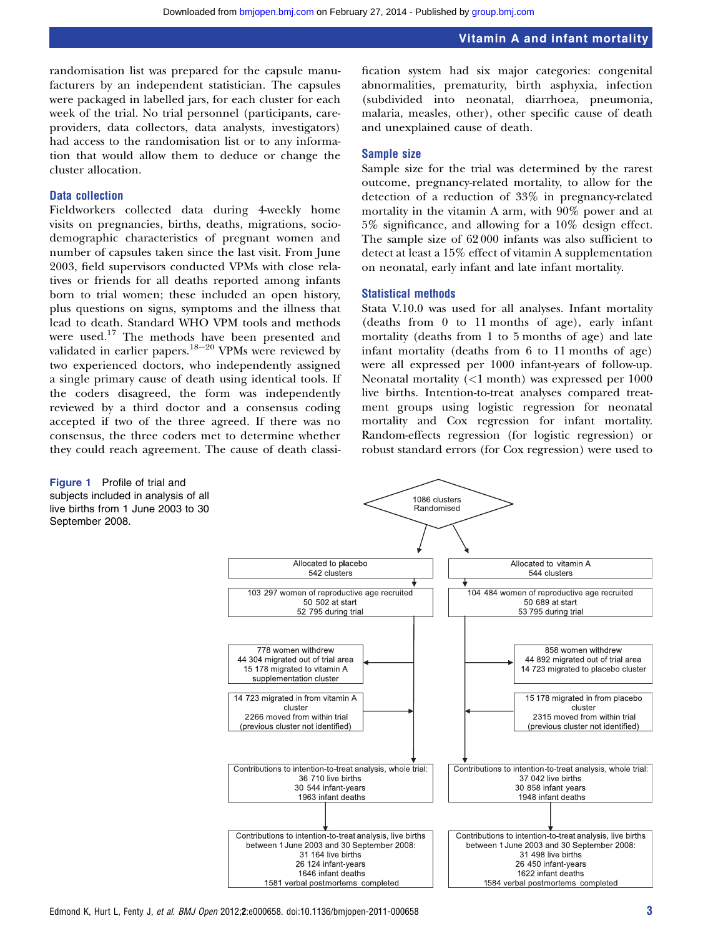randomisation list was prepared for the capsule manufacturers by an independent statistician. The capsules were packaged in labelled jars, for each cluster for each week of the trial. No trial personnel (participants, careproviders, data collectors, data analysts, investigators) had access to the randomisation list or to any information that would allow them to deduce or change the cluster allocation.

## Data collection

Fieldworkers collected data during 4-weekly home visits on pregnancies, births, deaths, migrations, sociodemographic characteristics of pregnant women and number of capsules taken since the last visit. From June 2003, field supervisors conducted VPMs with close relatives or friends for all deaths reported among infants born to trial women; these included an open history, plus questions on signs, symptoms and the illness that lead to death. Standard WHO VPM tools and methods were used.<sup>17</sup> The methods have been presented and validated in earlier papers.<sup>18-20</sup> VPMs were reviewed by two experienced doctors, who independently assigned a single primary cause of death using identical tools. If the coders disagreed, the form was independently reviewed by a third doctor and a consensus coding accepted if two of the three agreed. If there was no consensus, the three coders met to determine whether they could reach agreement. The cause of death classi-

Figure 1 Profile of trial and subjects included in analysis of all live births from 1 June 2003 to 30 September 2008.

fication system had six major categories: congenital abnormalities, prematurity, birth asphyxia, infection (subdivided into neonatal, diarrhoea, pneumonia, malaria, measles, other), other specific cause of death and unexplained cause of death.

## Sample size

Sample size for the trial was determined by the rarest outcome, pregnancy-related mortality, to allow for the detection of a reduction of 33% in pregnancy-related mortality in the vitamin A arm, with 90% power and at 5% significance, and allowing for a 10% design effect. The sample size of 62 000 infants was also sufficient to detect at least a 15% effect of vitamin A supplementation on neonatal, early infant and late infant mortality.

## Statistical methods

Stata V.10.0 was used for all analyses. Infant mortality (deaths from 0 to 11 months of age), early infant mortality (deaths from 1 to 5 months of age) and late infant mortality (deaths from 6 to 11 months of age) were all expressed per 1000 infant-years of follow-up. Neonatal mortality (<1 month) was expressed per 1000 live births. Intention-to-treat analyses compared treatment groups using logistic regression for neonatal mortality and Cox regression for infant mortality. Random-effects regression (for logistic regression) or robust standard errors (for Cox regression) were used to

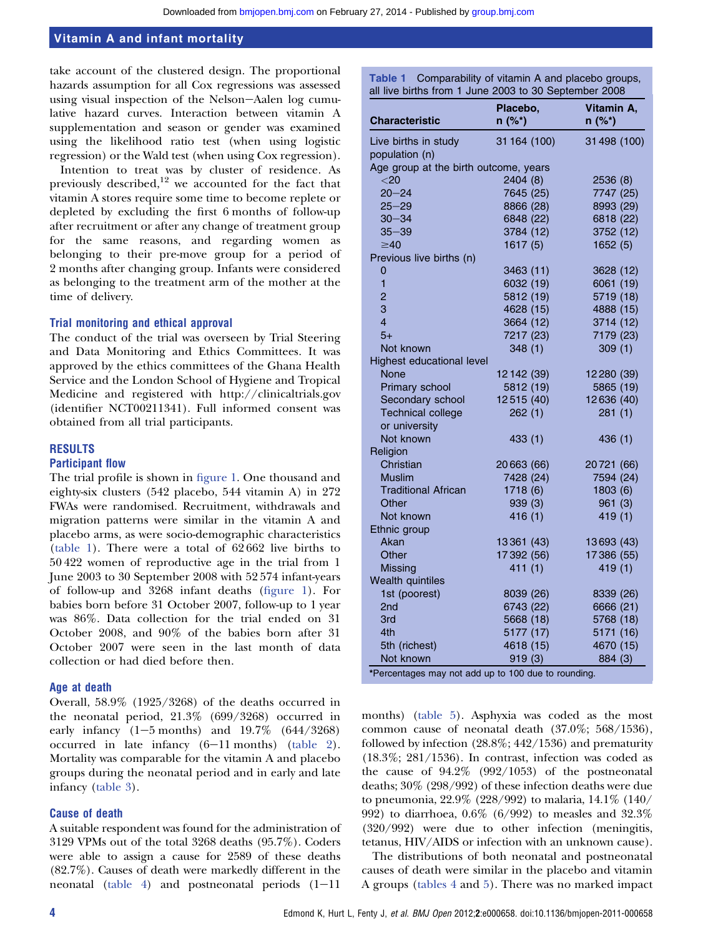take account of the clustered design. The proportional hazards assumption for all Cox regressions was assessed using visual inspection of the Nelson-Aalen log cumulative hazard curves. Interaction between vitamin A supplementation and season or gender was examined using the likelihood ratio test (when using logistic regression) or the Wald test (when using Cox regression).

Intention to treat was by cluster of residence. As previously described,<sup>12</sup> we accounted for the fact that vitamin A stores require some time to become replete or depleted by excluding the first 6 months of follow-up after recruitment or after any change of treatment group for the same reasons, and regarding women as belonging to their pre-move group for a period of 2 months after changing group. Infants were considered as belonging to the treatment arm of the mother at the time of delivery.

### Trial monitoring and ethical approval

The conduct of the trial was overseen by Trial Steering and Data Monitoring and Ethics Committees. It was approved by the ethics committees of the Ghana Health Service and the London School of Hygiene and Tropical Medicine and registered with http://clinicaltrials.gov (identifier NCT00211341). Full informed consent was obtained from all trial participants.

#### RESULTS

#### Participant flow

The trial profile is shown in figure 1. One thousand and eighty-six clusters (542 placebo, 544 vitamin A) in 272 FWAs were randomised. Recruitment, withdrawals and migration patterns were similar in the vitamin A and placebo arms, as were socio-demographic characteristics (table 1). There were a total of 62 662 live births to 50 422 women of reproductive age in the trial from 1 June 2003 to 30 September 2008 with 52 574 infant-years of follow-up and 3268 infant deaths (figure 1). For babies born before 31 October 2007, follow-up to 1 year was 86%. Data collection for the trial ended on 31 October 2008, and 90% of the babies born after 31 October 2007 were seen in the last month of data collection or had died before then.

#### Age at death

Overall, 58.9% (1925/3268) of the deaths occurred in the neonatal period, 21.3% (699/3268) occurred in early infancy  $(1-5$  months) and  $19.7\%$   $(644/3268)$ occurred in late infancy  $(6-11 \text{ months})$  (table 2). Mortality was comparable for the vitamin A and placebo groups during the neonatal period and in early and late infancy (table 3).

## Cause of death

A suitable respondent was found for the administration of 3129 VPMs out of the total 3268 deaths (95.7%). Coders were able to assign a cause for 2589 of these deaths (82.7%). Causes of death were markedly different in the neonatal (table 4) and postneonatal periods  $(1-11)$ 

Table 1 Comparability of vitamin A and placebo groups, all live births from 1 June 2003 to 30 September 2008

| <b>Characteristic</b>                               | Placebo,<br>$n$ (%*) | Vitamin A,<br>$n$ (%*) |  |  |
|-----------------------------------------------------|----------------------|------------------------|--|--|
| Live births in study                                | 31 164 (100)         | 31 498 (100)           |  |  |
| population (n)                                      |                      |                        |  |  |
| Age group at the birth outcome, years               |                      |                        |  |  |
| $<$ 20                                              | 2404(8)              | 2536 (8)               |  |  |
| $20 - 24$                                           | 7645 (25)            | 7747 (25)              |  |  |
| $25 - 29$                                           | 8866 (28)            | 8993 (29)              |  |  |
| $30 - 34$                                           | 6848 (22)            | 6818 (22)              |  |  |
| $35 - 39$                                           | 3784 (12)            | 3752 (12)              |  |  |
| $\geq 40$                                           | 1617(5)              | 1652(5)                |  |  |
| Previous live births (n)                            |                      |                        |  |  |
| 0                                                   | 3463 (11)            | 3628 (12)              |  |  |
| 1                                                   | 6032 (19)            | 6061 (19)              |  |  |
| $\overline{2}$                                      | 5812 (19)            | 5719 (18)              |  |  |
| 3                                                   | 4628 (15)            | 4888 (15)              |  |  |
| $\overline{4}$                                      | 3664 (12)            | 3714 (12)              |  |  |
| $5+$                                                | 7217 (23)            | 7179 (23)              |  |  |
| Not known                                           | 348(1)               | 309(1)                 |  |  |
| <b>Highest educational level</b>                    |                      |                        |  |  |
| <b>None</b>                                         | 12 142 (39)          | 12 280 (39)            |  |  |
| Primary school                                      | 5812 (19)            | 5865 (19)              |  |  |
| Secondary school                                    | 12515 (40)           | 12636 (40)             |  |  |
| <b>Technical college</b>                            | 262(1)               | 281(1)                 |  |  |
| or university                                       |                      |                        |  |  |
| Not known                                           | 433(1)               | 436 (1)                |  |  |
| Religion                                            |                      |                        |  |  |
| Christian                                           | 20663 (66)           | 20721 (66)             |  |  |
| <b>Muslim</b>                                       | 7428 (24)            | 7594 (24)              |  |  |
| <b>Traditional African</b>                          | 1718 (6)             | 1803(6)                |  |  |
| Other                                               | 939 (3)              | 961(3)                 |  |  |
| Not known                                           | 416(1)               | 419(1)                 |  |  |
| Ethnic group                                        |                      |                        |  |  |
| Akan                                                | 13361 (43)           | 13693 (43)             |  |  |
| Other                                               | 17392 (56)           | 17386 (55)             |  |  |
| Missing                                             | 411(1)               | 419(1)                 |  |  |
| Wealth quintiles                                    |                      |                        |  |  |
| 1st (poorest)                                       | 8039 (26)            | 8339 (26)              |  |  |
| 2nd                                                 | 6743 (22)            | 6666 (21)              |  |  |
| 3rd                                                 | 5668 (18)            | 5768 (18)              |  |  |
| 4th                                                 | 5177 (17)            | 5171 (16)              |  |  |
| 5th (richest)                                       | 4618 (15)            | 4670 (15)              |  |  |
| Not known                                           | 919(3)               | 884 (3)                |  |  |
| *Percentages may not add up to 100 due to rounding. |                      |                        |  |  |

months) (table 5). Asphyxia was coded as the most common cause of neonatal death (37.0%; 568/1536), followed by infection (28.8%; 442/1536) and prematurity (18.3%; 281/1536). In contrast, infection was coded as the cause of  $94.2\%$  (992/1053) of the postneonatal deaths; 30% (298/992) of these infection deaths were due to pneumonia, 22.9% (228/992) to malaria, 14.1% (140/ 992) to diarrhoea, 0.6% (6/992) to measles and 32.3% (320/992) were due to other infection (meningitis, tetanus, HIV/AIDS or infection with an unknown cause).

The distributions of both neonatal and postneonatal causes of death were similar in the placebo and vitamin A groups (tables 4 and 5). There was no marked impact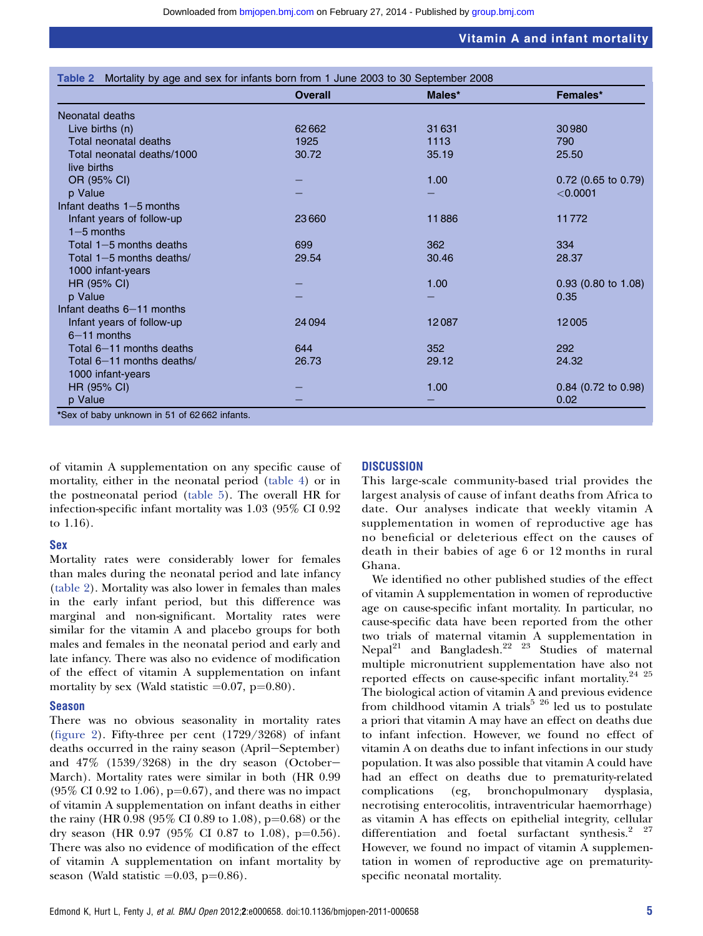|                            | <b>Overall</b> | Males* | Females*              |
|----------------------------|----------------|--------|-----------------------|
| Neonatal deaths            |                |        |                       |
| Live births (n)            | 62 662         | 31631  | 30980                 |
| Total neonatal deaths      | 1925           | 1113   | 790                   |
| Total neonatal deaths/1000 | 30.72          | 35.19  | 25.50                 |
| live births                |                |        |                       |
| OR (95% CI)                |                | 1.00   | $0.72$ (0.65 to 0.79) |
| p Value                    |                |        | < 0.0001              |
| Infant deaths $1-5$ months |                |        |                       |
| Infant years of follow-up  | 23660          | 11886  | 11772                 |
| $1-5$ months               |                |        |                       |
| Total $1-5$ months deaths  | 699            | 362    | 334                   |
| Total $1-5$ months deaths/ | 29.54          | 30.46  | 28.37                 |
| 1000 infant-years          |                |        |                       |
| HR (95% CI)                |                | 1.00   | $0.93$ (0.80 to 1.08) |
| p Value                    |                |        | 0.35                  |
| Infant deaths 6-11 months  |                |        |                       |
| Infant years of follow-up  | 24 0 94        | 12087  | 12005                 |
| $6 - 11$ months            |                |        |                       |
| Total 6-11 months deaths   | 644            | 352    | 292                   |
| Total 6-11 months deaths/  | 26.73          | 29.12  | 24.32                 |
| 1000 infant-years          |                |        |                       |
| HR (95% CI)                |                | 1.00   | $0.84$ (0.72 to 0.98) |
| p Value                    |                |        | 0.02                  |

of vitamin A supplementation on any specific cause of mortality, either in the neonatal period (table 4) or in the postneonatal period (table 5). The overall HR for infection-specific infant mortality was 1.03 (95% CI 0.92 to 1.16).

## Sex

Mortality rates were considerably lower for females than males during the neonatal period and late infancy (table 2). Mortality was also lower in females than males in the early infant period, but this difference was marginal and non-significant. Mortality rates were similar for the vitamin A and placebo groups for both males and females in the neonatal period and early and late infancy. There was also no evidence of modification of the effect of vitamin A supplementation on infant mortality by sex (Wald statistic  $=0.07$ , p $=0.80$ ).

## Season

There was no obvious seasonality in mortality rates (figure 2). Fifty-three per cent (1729/3268) of infant deaths occurred in the rainy season (April-September) and  $47\%$  (1539/3268) in the dry season (October-March). Mortality rates were similar in both (HR 0.99  $(95\% \text{ CI } 0.92 \text{ to } 1.06), p=0.67),$  and there was no impact of vitamin A supplementation on infant deaths in either the rainy (HR 0.98 (95% CI 0.89 to 1.08), p=0.68) or the dry season (HR 0.97 (95% CI 0.87 to 1.08), p=0.56). There was also no evidence of modification of the effect of vitamin A supplementation on infant mortality by season (Wald statistic  $=0.03$ , p $=0.86$ ).

## **DISCUSSION**

This large-scale community-based trial provides the largest analysis of cause of infant deaths from Africa to date. Our analyses indicate that weekly vitamin A supplementation in women of reproductive age has no beneficial or deleterious effect on the causes of death in their babies of age 6 or 12 months in rural Ghana.

We identified no other published studies of the effect of vitamin A supplementation in women of reproductive age on cause-specific infant mortality. In particular, no cause-specific data have been reported from the other two trials of maternal vitamin A supplementation in Nepal<sup>21</sup> and Bangladesh.<sup>22 23</sup> Studies of maternal multiple micronutrient supplementation have also not reported effects on cause-specific infant mortality.<sup>24 25</sup> The biological action of vitamin A and previous evidence from childhood vitamin A trials<sup>5 26</sup> led us to postulate a priori that vitamin A may have an effect on deaths due to infant infection. However, we found no effect of vitamin A on deaths due to infant infections in our study population. It was also possible that vitamin A could have had an effect on deaths due to prematurity-related complications (eg, bronchopulmonary dysplasia, necrotising enterocolitis, intraventricular haemorrhage) as vitamin A has effects on epithelial integrity, cellular differentiation and foetal surfactant synthesis.<sup>2</sup> <sup>27</sup> However, we found no impact of vitamin A supplementation in women of reproductive age on prematurityspecific neonatal mortality.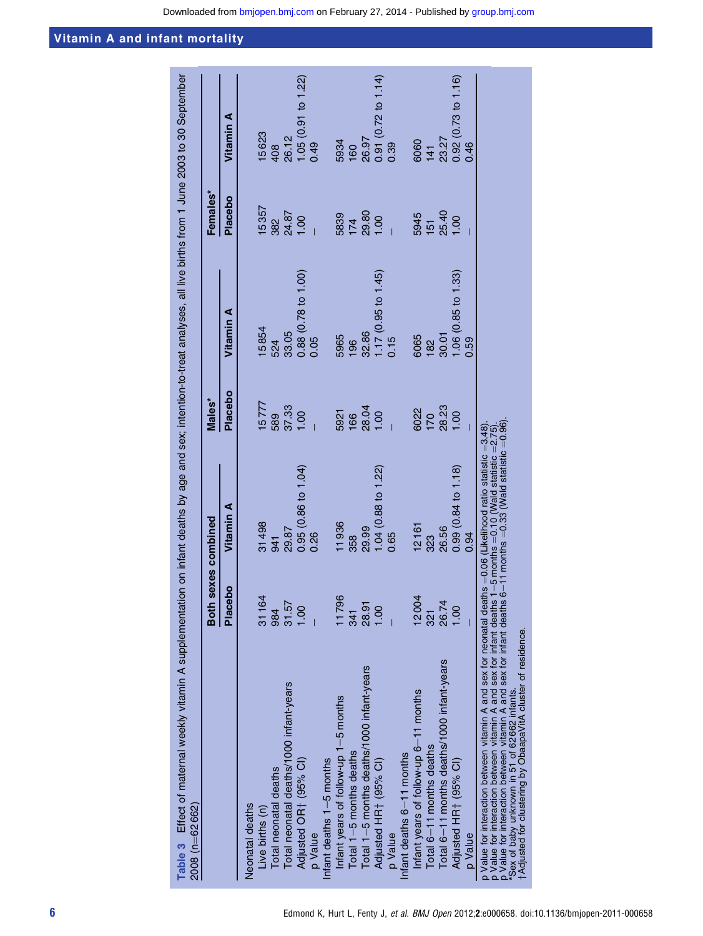|  |  |  |  | Vitamin A and infant mortality |
|--|--|--|--|--------------------------------|
|--|--|--|--|--------------------------------|

|                                                                                                                                                                                                                                                                                                     | Both    | sexes combined      | Males*  |                     | Females <sup>*</sup>         |                           |
|-----------------------------------------------------------------------------------------------------------------------------------------------------------------------------------------------------------------------------------------------------------------------------------------------------|---------|---------------------|---------|---------------------|------------------------------|---------------------------|
|                                                                                                                                                                                                                                                                                                     | Placebo | Vitamin A           | Placebo | Vitamin A           | Placebo                      | ⋖<br>Vitamin              |
| Neonatal deaths                                                                                                                                                                                                                                                                                     |         |                     |         |                     |                              |                           |
| Live births (n)                                                                                                                                                                                                                                                                                     | 31164   | 31498               | 15777   | 15854               | 15357                        | 15623                     |
| Total neonatal deaths                                                                                                                                                                                                                                                                               | 984     | 941                 | 589     | 524                 | 382                          | 408                       |
| Total neonatal deaths/1000 infant-years                                                                                                                                                                                                                                                             | 31.57   | 29.87               |         | 33.05               | 24.87                        | 26.12                     |
| Adjusted OR† (95% CI)                                                                                                                                                                                                                                                                               | 1.00    | 0.95(0.86 to 1.04)  | 37.33   | 0.88 (0.78 to 1.00) | 1.00                         | 1.05 (0.91 to 1.22)       |
| p Value                                                                                                                                                                                                                                                                                             |         | 0.26                |         | 0.05                |                              | 0.49                      |
| Infant deaths 1-5 months                                                                                                                                                                                                                                                                            |         |                     |         |                     |                              |                           |
| Infant years of follow-up 1-5 months                                                                                                                                                                                                                                                                | 11796   | 11936               | 5921    | 5965                |                              | 5934                      |
| Total 1-5 months deaths                                                                                                                                                                                                                                                                             | 341     | 358                 | 166     | 196                 |                              | 160                       |
| Total 1-5 months deaths/1000 infant-years                                                                                                                                                                                                                                                           | 28.91   | 29.99               | 28.04   | 32.86               |                              | 26.97                     |
| Adjusted HR† (95% CI)                                                                                                                                                                                                                                                                               | 1.00    | 1.04 (0.88 to 1.22) | 1.00    | 1.17(0.95 to 1.45)  | 5839<br>174<br>29.00<br>1.00 | $0.91$ $(0.72$ to $1.14)$ |
| p Value                                                                                                                                                                                                                                                                                             |         | 0.65                |         | 0.15                |                              | 0.39                      |
| Infant deaths 6-11 months                                                                                                                                                                                                                                                                           |         |                     |         |                     |                              |                           |
| Infant years of follow-up 6-11 months                                                                                                                                                                                                                                                               | 12004   | 12161               | 6022    | 6065                | 5945                         | 6060                      |
| Total 6-11 months deaths                                                                                                                                                                                                                                                                            | 321     | 323                 | 170     | 182                 |                              | 141                       |
| Total 6-11 months deaths/1000 infant-years                                                                                                                                                                                                                                                          | 26.74   | 26.56               | 28.23   | 30.01               | $151$<br>25.40               | 23.27                     |
| Adjusted HR+ (95% CI)                                                                                                                                                                                                                                                                               | 1.00    | 0.99 (0.84 to 1.18) | 1.00    | 1.06 (0.85 to 1.33) | 1.00                         | 0.92 (0.73 to 1.16)       |
| p Value                                                                                                                                                                                                                                                                                             |         | 0.94                |         | 0.59                |                              | 0.46                      |
| p Value for interaction between vitamin A and sex for neonatal deaths =0.06 (Likelihood ratio statistic =3.48).<br>p Value for interaction between vitamin A and sex for infant deaths 1−5 months =0.10 (Wald statistic =2.75).<br><br>†Adjusted for clustering by ObaapaVitA cluster of residence. |         |                     |         |                     |                              |                           |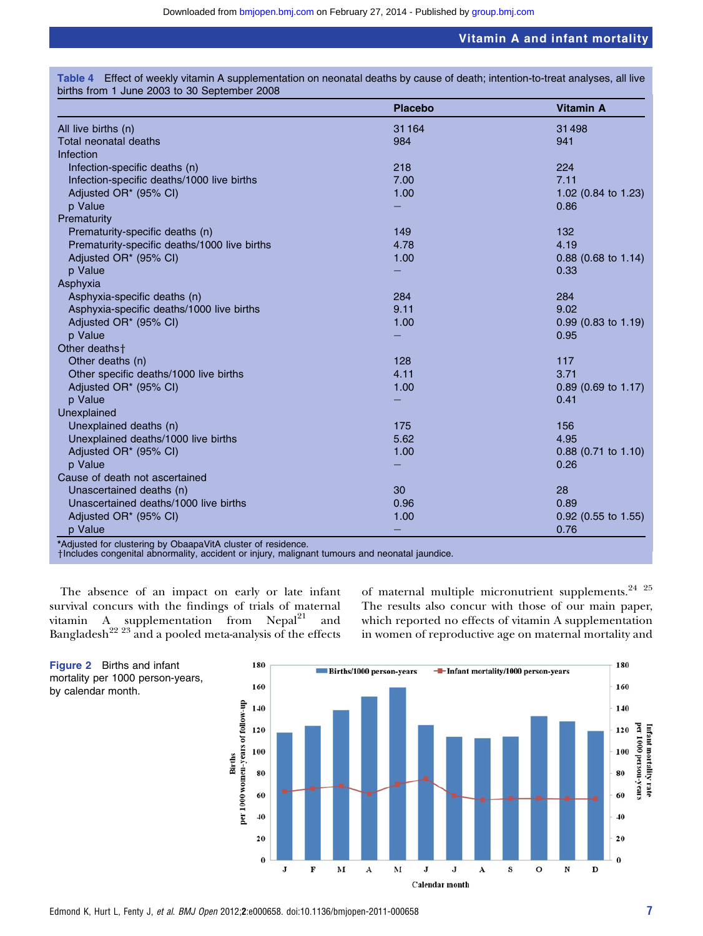|                                              | <b>Placebo</b> | <b>Vitamin A</b>      |
|----------------------------------------------|----------------|-----------------------|
| All live births (n)                          | 31 1 64        | 31498                 |
| <b>Total neonatal deaths</b>                 | 984            | 941                   |
| Infection                                    |                |                       |
| Infection-specific deaths (n)                | 218            | 224                   |
| Infection-specific deaths/1000 live births   | 7.00           | 7.11                  |
| Adjusted OR* (95% CI)                        | 1.00           | 1.02 (0.84 to 1.23)   |
| p Value                                      |                | 0.86                  |
| Prematurity                                  |                |                       |
| Prematurity-specific deaths (n)              | 149            | 132                   |
| Prematurity-specific deaths/1000 live births | 4.78           | 4.19                  |
| Adjusted OR* (95% CI)                        | 1.00           | $0.88$ (0.68 to 1.14) |
| p Value                                      |                | 0.33                  |
| Asphyxia                                     |                |                       |
| Asphyxia-specific deaths (n)                 | 284            | 284                   |
| Asphyxia-specific deaths/1000 live births    | 9.11           | 9.02                  |
| Adjusted OR* (95% CI)                        | 1.00           | $0.99$ (0.83 to 1.19) |
| p Value                                      |                | 0.95                  |
| Other deaths <sup>+</sup>                    |                |                       |
| Other deaths (n)                             | 128            | 117                   |
| Other specific deaths/1000 live births       | 4.11           | 3.71                  |
| Adjusted OR* (95% CI)                        | 1.00           | $0.89$ (0.69 to 1.17) |
| p Value                                      |                | 0.41                  |
| Unexplained                                  |                |                       |
| Unexplained deaths (n)                       | 175            | 156                   |
| Unexplained deaths/1000 live births          | 5.62           | 4.95                  |
| Adjusted OR* (95% CI)                        | 1.00           | $0.88$ (0.71 to 1.10) |
| p Value                                      |                | 0.26                  |
| Cause of death not ascertained               |                |                       |
| Unascertained deaths (n)                     | 30             | 28                    |
| Unascertained deaths/1000 live births        | 0.96           | 0.89                  |
| Adjusted OR* (95% CI)                        | 1.00           | $0.92$ (0.55 to 1.55) |
| p Value                                      |                | 0.76                  |

Table 4 Effect of weekly vitamin A supplementation on neonatal deaths by cause of death; intention-to-treat analyses, all live births from 1 June 2003 to 30 September 2008

\*Adjusted for clustering by ObaapaVitA cluster of residence. yIncludes congenital abnormality, accident or injury, malignant tumours and neonatal jaundice.

The absence of an impact on early or late infant survival concurs with the findings of trials of maternal vitamin A supplementation from Nepal<sup>21</sup> and Bangladesh $^{22\,\,23}$  and a pooled meta-analysis of the effects

of maternal multiple micronutrient supplements.<sup>24</sup> <sup>25</sup> The results also concur with those of our main paper, which reported no effects of vitamin A supplementation in women of reproductive age on maternal mortality and



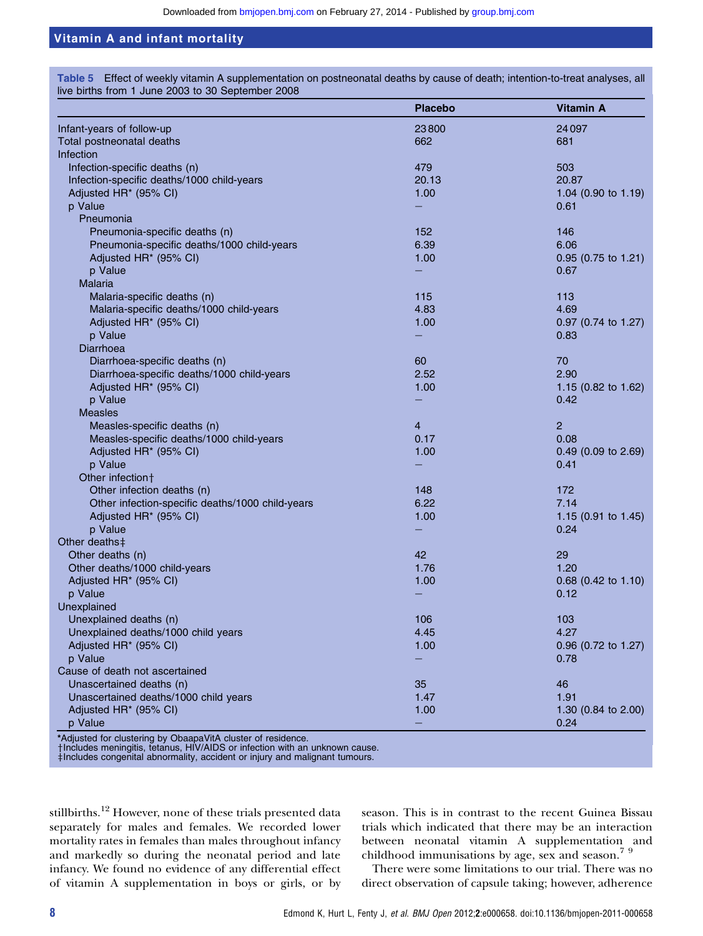Table 5 Effect of weekly vitamin A supplementation on postneonatal deaths by cause of death; intention-to-treat analyses, all live births from 1 June 2003 to 30 September 2008

|                                                                         | <b>Placebo</b> | <b>Vitamin A</b>                       |
|-------------------------------------------------------------------------|----------------|----------------------------------------|
| Infant-years of follow-up                                               | 23800          | 24 097                                 |
| Total postneonatal deaths                                               | 662            | 681                                    |
| Infection                                                               |                |                                        |
| Infection-specific deaths (n)                                           | 479            | 503                                    |
| Infection-specific deaths/1000 child-years                              | 20.13          | 20.87                                  |
| Adjusted HR* (95% CI)                                                   | 1.00           | 1.04 $(0.90 \text{ to } 1.19)$         |
| p Value                                                                 |                | 0.61                                   |
| Pneumonia                                                               |                |                                        |
| Pneumonia-specific deaths (n)                                           | 152            | 146                                    |
| Pneumonia-specific deaths/1000 child-years                              | 6.39           | 6.06                                   |
| Adjusted HR* (95% CI)                                                   | 1.00           | $0.95(0.75 \text{ to } 1.21)$          |
| p Value                                                                 |                | 0.67                                   |
| <b>Malaria</b>                                                          |                |                                        |
| Malaria-specific deaths (n)                                             | 115            | 113                                    |
| Malaria-specific deaths/1000 child-years                                | 4.83           | 4.69                                   |
| Adjusted HR* (95% CI)                                                   | 1.00           | $0.97$ (0.74 to 1.27)                  |
| p Value                                                                 |                | 0.83                                   |
| Diarrhoea                                                               |                |                                        |
| Diarrhoea-specific deaths (n)                                           | 60             | 70                                     |
| Diarrhoea-specific deaths/1000 child-years                              | 2.52           | 2.90                                   |
| Adjusted HR* (95% CI)                                                   | 1.00           |                                        |
| p Value                                                                 |                | 1.15 $(0.82 \text{ to } 1.62)$<br>0.42 |
| <b>Measles</b>                                                          |                |                                        |
|                                                                         | $\overline{4}$ | $\overline{c}$                         |
| Measles-specific deaths (n)<br>Measles-specific deaths/1000 child-years | 0.17           | 0.08                                   |
|                                                                         | 1.00           |                                        |
| Adjusted HR* (95% CI)                                                   |                | $0.49$ (0.09 to 2.69)<br>0.41          |
| p Value                                                                 |                |                                        |
| Other infection+                                                        | 148            |                                        |
| Other infection deaths (n)                                              |                | 172<br>7.14                            |
| Other infection-specific deaths/1000 child-years                        | 6.22           |                                        |
| Adjusted HR* (95% CI)                                                   | 1.00           | 1.15 $(0.91 \text{ to } 1.45)$         |
| p Value                                                                 |                | 0.24                                   |
| Other deaths <sup>‡</sup>                                               |                |                                        |
| Other deaths (n)                                                        | 42             | 29                                     |
| Other deaths/1000 child-years                                           | 1.76           | 1.20                                   |
| Adjusted HR* (95% CI)                                                   | 1.00           | $0.68$ (0.42 to 1.10)                  |
| p Value                                                                 |                | 0.12                                   |
| Unexplained                                                             |                |                                        |
| Unexplained deaths (n)                                                  | 106            | 103                                    |
| Unexplained deaths/1000 child years                                     | 4.45           | 4.27                                   |
| Adjusted HR* (95% CI)                                                   | 1.00           | 0.96 (0.72 to 1.27)                    |
| p Value                                                                 |                | 0.78                                   |
| Cause of death not ascertained                                          |                |                                        |
| Unascertained deaths (n)                                                | 35             | 46                                     |
| Unascertained deaths/1000 child years                                   | 1.47           | 1.91                                   |
| Adjusted HR* (95% CI)                                                   | 1.00           | 1.30 (0.84 to 2.00)                    |
| p Value                                                                 |                | 0.24                                   |
| *Adjusted for clustering by ObaapaVitA cluster of residence.            |                |                                        |

†Includes meningitis, tetanus, HIV/AIDS or infection with an unknown cause.<br>‡Includes congenital abnormality, accident or injury and malignant tumours.

stillbirths.<sup>12</sup> However, none of these trials presented data separately for males and females. We recorded lower mortality rates in females than males throughout infancy and markedly so during the neonatal period and late infancy. We found no evidence of any differential effect of vitamin A supplementation in boys or girls, or by season. This is in contrast to the recent Guinea Bissau trials which indicated that there may be an interaction between neonatal vitamin A supplementation and childhood immunisations by age, sex and season.7 9

There were some limitations to our trial. There was no direct observation of capsule taking; however, adherence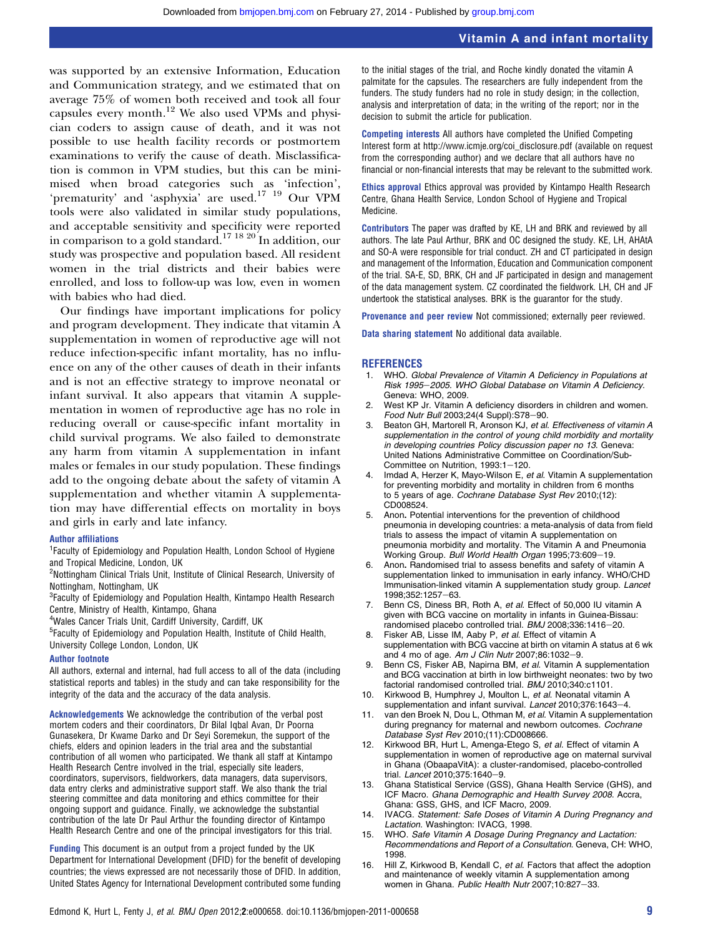was supported by an extensive Information, Education and Communication strategy, and we estimated that on average 75% of women both received and took all four capsules every month.<sup>12</sup> We also used VPMs and physician coders to assign cause of death, and it was not possible to use health facility records or postmortem examinations to verify the cause of death. Misclassification is common in VPM studies, but this can be minimised when broad categories such as 'infection', 'prematurity' and 'asphyxia' are used.<sup>17</sup> <sup>19</sup> Our VPM tools were also validated in similar study populations, and acceptable sensitivity and specificity were reported in comparison to a gold standard.<sup>17 18 20</sup> In addition, our study was prospective and population based. All resident women in the trial districts and their babies were enrolled, and loss to follow-up was low, even in women with babies who had died.

Our findings have important implications for policy and program development. They indicate that vitamin A supplementation in women of reproductive age will not reduce infection-specific infant mortality, has no influence on any of the other causes of death in their infants and is not an effective strategy to improve neonatal or infant survival. It also appears that vitamin A supplementation in women of reproductive age has no role in reducing overall or cause-specific infant mortality in child survival programs. We also failed to demonstrate any harm from vitamin A supplementation in infant males or females in our study population. These findings add to the ongoing debate about the safety of vitamin A supplementation and whether vitamin A supplementation may have differential effects on mortality in boys and girls in early and late infancy.

### Author affiliations

<sup>1</sup> Faculty of Epidemiology and Population Health, London School of Hygiene and Tropical Medicine, London, UK

<sup>2</sup>Nottingham Clinical Trials Unit, Institute of Clinical Research, University of Nottingham, Nottingham, UK

 ${}^{3}$ Faculty of Epidemiology and Population Health, Kintampo Health Research Centre, Ministry of Health, Kintampo, Ghana

4 Wales Cancer Trials Unit, Cardiff University, Cardiff, UK

<sup>5</sup>Faculty of Epidemiology and Population Health, Institute of Child Health, University College London, London, UK

#### Author footnote

All authors, external and internal, had full access to all of the data (including statistical reports and tables) in the study and can take responsibility for the integrity of the data and the accuracy of the data analysis.

Acknowledgements We acknowledge the contribution of the verbal post mortem coders and their coordinators, Dr Bilal Iqbal Avan, Dr Poorna Gunasekera, Dr Kwame Darko and Dr Seyi Soremekun, the support of the chiefs, elders and opinion leaders in the trial area and the substantial contribution of all women who participated. We thank all staff at Kintampo Health Research Centre involved in the trial, especially site leaders, coordinators, supervisors, fieldworkers, data managers, data supervisors, data entry clerks and administrative support staff. We also thank the trial steering committee and data monitoring and ethics committee for their ongoing support and guidance. Finally, we acknowledge the substantial contribution of the late Dr Paul Arthur the founding director of Kintampo Health Research Centre and one of the principal investigators for this trial.

Funding This document is an output from a project funded by the UK Department for International Development (DFID) for the benefit of developing countries; the views expressed are not necessarily those of DFID. In addition, United States Agency for International Development contributed some funding to the initial stages of the trial, and Roche kindly donated the vitamin A palmitate for the capsules. The researchers are fully independent from the funders. The study funders had no role in study design; in the collection, analysis and interpretation of data; in the writing of the report; nor in the decision to submit the article for publication.

Competing interests All authors have completed the Unified Competing Interest form at http://www.icmje.org/coi\_disclosure.pdf (available on request from the corresponding author) and we declare that all authors have no financial or non-financial interests that may be relevant to the submitted work.

Ethics approval Ethics approval was provided by Kintampo Health Research Centre, Ghana Health Service, London School of Hygiene and Tropical Medicine.

Contributors The paper was drafted by KE, LH and BRK and reviewed by all authors. The late Paul Arthur, BRK and OC designed the study. KE, LH, AHAtA and SO-A were responsible for trial conduct. ZH and CT participated in design and management of the Information, Education and Communication component of the trial. SA-E, SD, BRK, CH and JF participated in design and management of the data management system. CZ coordinated the fieldwork. LH, CH and JF undertook the statistical analyses. BRK is the guarantor for the study.

Provenance and peer review Not commissioned; externally peer reviewed.

Data sharing statement No additional data available.

#### **REFERENCES**

- 1. WHO. Global Prevalence of Vitamin A Deficiency in Populations at Risk 1995-2005. WHO Global Database on Vitamin A Deficiency. Geneva: WHO, 2009.
- West KP Jr. Vitamin A deficiency disorders in children and women. Food Nutr Bull 2003;24(4 Suppl):S78-90.
- 3. Beaton GH, Martorell R, Aronson KJ, et al. Effectiveness of vitamin A supplementation in the control of young child morbidity and mortality in developing countries Policy discussion paper no 13. Geneva: United Nations Administrative Committee on Coordination/Sub-Committee on Nutrition, 1993:1-120.
- 4. Imdad A, Herzer K, Mayo-Wilson E, et al. Vitamin A supplementation for preventing morbidity and mortality in children from 6 months to 5 years of age. Cochrane Database Syst Rev 2010;(12): CD008524.
- 5. Anon. Potential interventions for the prevention of childhood pneumonia in developing countries: a meta-analysis of data from field trials to assess the impact of vitamin A supplementation on pneumonia morbidity and mortality. The Vitamin A and Pneumonia Working Group. Bull World Health Organ 1995;73:609-19.
- 6. Anon. Randomised trial to assess benefits and safety of vitamin A supplementation linked to immunisation in early infancy. WHO/CHD Immunisation-linked vitamin A supplementation study group. Lancet 1998;352:1257-63.
- Benn CS, Diness BR, Roth A, et al. Effect of 50,000 IU vitamin A given with BCG vaccine on mortality in infants in Guinea-Bissau: randomised placebo controlled trial. BMJ 2008;336:1416-20.
- 8. Fisker AB, Lisse IM, Aaby P, et al. Effect of vitamin A supplementation with BCG vaccine at birth on vitamin A status at 6 wk and 4 mo of age. Am J Clin Nutr 2007;86:1032-9.
- 9. Benn CS, Fisker AB, Napirna BM, et al. Vitamin A supplementation and BCG vaccination at birth in low birthweight neonates: two by two factorial randomised controlled trial. BMJ 2010;340:c1101.
- 10. Kirkwood B, Humphrey J, Moulton L, et al. Neonatal vitamin A supplementation and infant survival. Lancet 2010;376:1643-4.
- 11. van den Broek N, Dou L, Othman M, et al. Vitamin A supplementation during pregnancy for maternal and newborn outcomes. Cochrane Database Syst Rev 2010;(11):CD008666.
- 12. Kirkwood BR, Hurt L, Amenga-Etego S, et al. Effect of vitamin A supplementation in women of reproductive age on maternal survival in Ghana (ObaapaVitA): a cluster-randomised, placebo-controlled trial. Lancet 2010:375:1640-9.
- 13. Ghana Statistical Service (GSS), Ghana Health Service (GHS), and ICF Macro. Ghana Demographic and Health Survey 2008. Accra, Ghana: GSS, GHS, and ICF Macro, 2009.
- 14. IVACG. Statement: Safe Doses of Vitamin A During Pregnancy and Lactation. Washington: IVACG, 1998.
- 15. WHO. Safe Vitamin A Dosage During Pregnancy and Lactation: Recommendations and Report of a Consultation. Geneva, CH: WHO, 1998.
- 16. Hill Z, Kirkwood B, Kendall C, et al. Factors that affect the adoption and maintenance of weekly vitamin A supplementation among women in Ghana. Public Health Nutr 2007;10:827-33.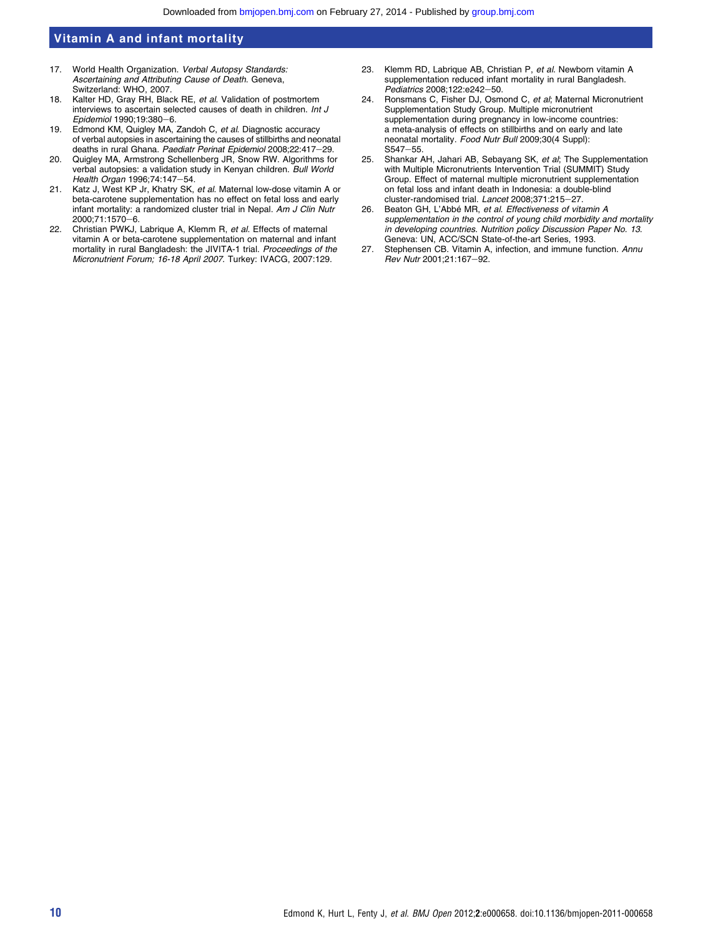- 17. World Health Organization. Verbal Autopsy Standards: Ascertaining and Attributing Cause of Death. Geneva, Switzerland: WHO, 2007.
- 18. Kalter HD, Gray RH, Black RE, et al. Validation of postmortem interviews to ascertain selected causes of death in children. Int J Epidemiol 1990;19:380-6.
- 19. Edmond KM, Quigley MA, Zandoh C, et al. Diagnostic accuracy of verbal autopsies in ascertaining the causes of stillbirths and neonatal deaths in rural Ghana. Paediatr Perinat Epidemiol 2008;22:417-29.
- 20. Quigley MA, Armstrong Schellenberg JR, Snow RW. Algorithms for verbal autopsies: a validation study in Kenyan children. Bull World Health Organ 1996;74:147-54.
- 21. Katz J, West KP Jr, Khatry SK, et al. Maternal low-dose vitamin A or beta-carotene supplementation has no effect on fetal loss and early infant mortality: a randomized cluster trial in Nepal. Am J Clin Nutr  $2000:71:1570-6$
- 22. Christian PWKJ, Labrique A, Klemm R, et al. Effects of maternal vitamin A or beta-carotene supplementation on maternal and infant mortality in rural Bangladesh: the JIVITA-1 trial. Proceedings of the Micronutrient Forum; 16-18 April 2007. Turkey: IVACG, 2007:129.
- 23. Klemm RD, Labrique AB, Christian P, et al. Newborn vitamin A supplementation reduced infant mortality in rural Bangladesh. Pediatrics 2008;122:e242-50.
- 24. Ronsmans C, Fisher DJ, Osmond C, et al; Maternal Micronutrient Supplementation Study Group. Multiple micronutrient supplementation during pregnancy in low-income countries: a meta-analysis of effects on stillbirths and on early and late neonatal mortality. Food Nutr Bull 2009;30(4 Suppl):  $S547 - 55.$
- 25. Shankar AH, Jahari AB, Sebayang SK, et al; The Supplementation with Multiple Micronutrients Intervention Trial (SUMMIT) Study Group. Effect of maternal multiple micronutrient supplementation on fetal loss and infant death in Indonesia: a double-blind cluster-randomised trial. Lancet 2008;371:215-27.
- 26. Beaton GH, L'Abbé MR, et al. Effectiveness of vitamin A supplementation in the control of young child morbidity and mortality in developing countries. Nutrition policy Discussion Paper No. 13. Geneva: UN, ACC/SCN State-of-the-art Series, 1993.
- 27. Stephensen CB. Vitamin A, infection, and immune function. Annu Rev Nutr 2001;21:167-92.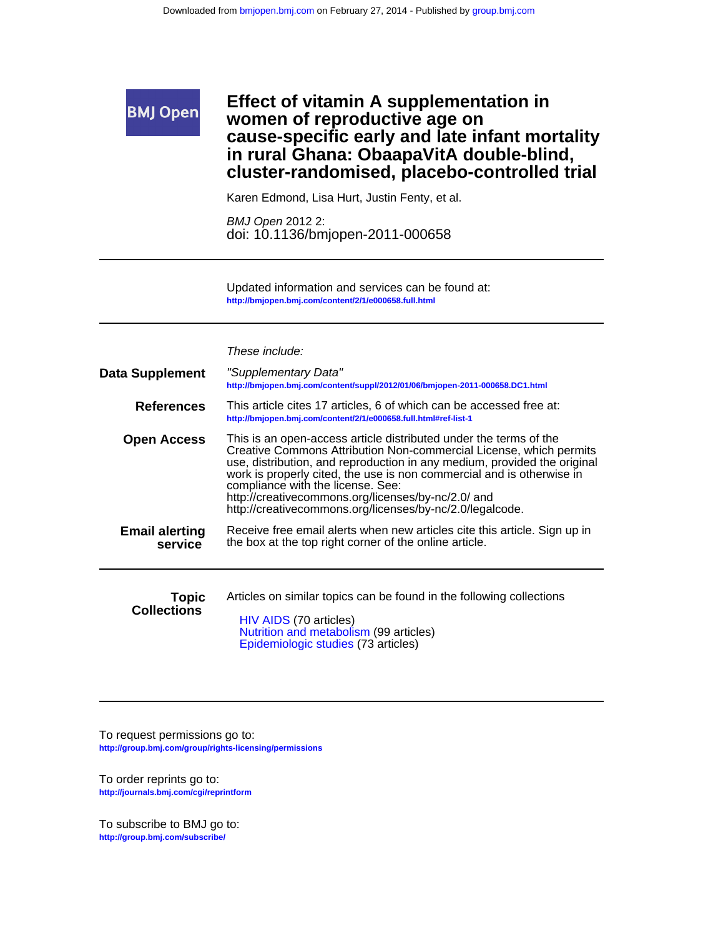# **cluster-randomised, placebo-controlled trial in rural Ghana: ObaapaVitA double-blind, cause-specific early and late infant mortality women of reproductive age on Effect of vitamin A supplementation in**

Karen Edmond, Lisa Hurt, Justin Fenty, et al.

doi: 10.1136/bmjopen-2011-000658 BMJ Open 2012 2:

**<http://bmjopen.bmj.com/content/2/1/e000658.full.html>** Updated information and services can be fou[nd at:](http://bmjopen.bmj.com/cgi/collection/bmj_open_nutrition_and_metabolism) 

|                                    | These include:                                                                                                                                                                                                                                                                                                                                                                                                                                      |
|------------------------------------|-----------------------------------------------------------------------------------------------------------------------------------------------------------------------------------------------------------------------------------------------------------------------------------------------------------------------------------------------------------------------------------------------------------------------------------------------------|
| Data Supplement                    | "Supplementary Data"<br>http://bmjopen.bmj.com/content/suppl/2012/01/06/bmjopen-2011-000658.DC1.html                                                                                                                                                                                                                                                                                                                                                |
| <b>References</b>                  | This article cites 17 articles, 6 of which can be accessed free at:<br>http://bmjopen.bmj.com/content/2/1/e000658.full.html#ref-list-1                                                                                                                                                                                                                                                                                                              |
| <b>Open Access</b>                 | This is an open-access article distributed under the terms of the<br>Creative Commons Attribution Non-commercial License, which permits<br>use, distribution, and reproduction in any medium, provided the original<br>work is properly cited, the use is non commercial and is otherwise in<br>compliance with the license. See:<br>http://creativecommons.org/licenses/by-nc/2.0/ and<br>http://creativecommons.org/licenses/by-nc/2.0/legalcode. |
| <b>Email alerting</b><br>service   | Receive free email alerts when new articles cite this article. Sign up in<br>the box at the top right corner of the online article.                                                                                                                                                                                                                                                                                                                 |
| <b>Topic</b><br><b>Collections</b> | Articles on similar topics can be found in the following collections<br>HIV AIDS (70 articles)<br>Nutrition and metabolism (99 articles)<br>Epidemiologic studies (73 articles)                                                                                                                                                                                                                                                                     |

**<http://group.bmj.com/group/rights-licensing/permissions>** To request permissions go to:

**<http://journals.bmj.com/cgi/reprintform>** To order reprints go to:

**BMJ Open** 

**<http://group.bmj.com/subscribe/>** To subscribe to BMJ go to: